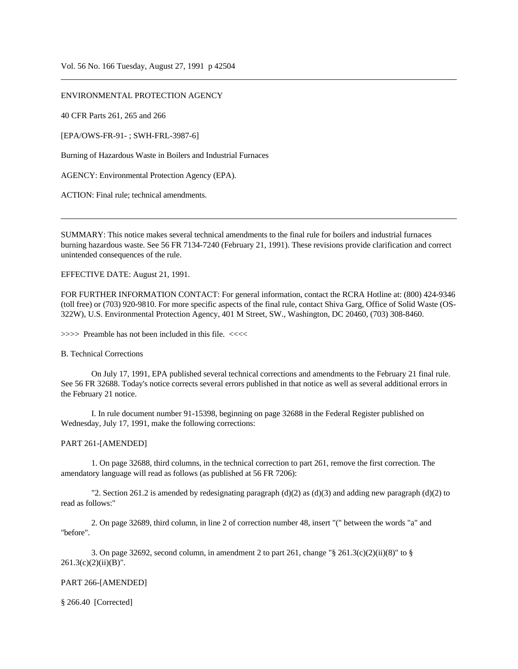## ENVIRONMENTAL PROTECTION AGENCY

40 CFR Parts 261, 265 and 266

[EPA/OWS-FR-91- ; SWH-FRL-3987-6]

Burning of Hazardous Waste in Boilers and Industrial Furnaces

AGENCY: Environmental Protection Agency (EPA).

ACTION: Final rule; technical amendments.

SUMMARY: This notice makes several technical amendments to the final rule for boilers and industrial furnaces burning hazardous waste. See 56 FR 7134-7240 (February 21, 1991). These revisions provide clarification and correct unintended consequences of the rule.

EFFECTIVE DATE: August 21, 1991.

FOR FURTHER INFORMATION CONTACT: For general information, contact the RCRA Hotline at: (800) 424-9346 (toll free) or (703) 920-9810. For more specific aspects of the final rule, contact Shiva Garg, Office of Solid Waste (OS-322W), U.S. Environmental Protection Agency, 401 M Street, SW., Washington, DC 20460, (703) 308-8460.

>>>> Preamble has not been included in this file. <<<<

#### B. Technical Corrections

On July 17, 1991, EPA published several technical corrections and amendments to the February 21 final rule. See 56 FR 32688. Today's notice corrects several errors published in that notice as well as several additional errors in the February 21 notice.

I. In rule document number 91-15398, beginning on page 32688 in the Federal Register published on Wednesday, July 17, 1991, make the following corrections:

### PART 261-[AMENDED]

1. On page 32688, third columns, in the technical correction to part 261, remove the first correction. The amendatory language will read as follows (as published at 56 FR 7206):

"2. Section 261.2 is amended by redesignating paragraph  $(d)(2)$  as  $(d)(3)$  and adding new paragraph  $(d)(2)$  to read as follows:"

2. On page 32689, third column, in line 2 of correction number 48, insert "(" between the words "a" and "before".

3. On page 32692, second column, in amendment 2 to part 261, change " $\S$  261.3(c)(2)(ii)(8)" to  $\S$  $261.3(c)(2)(ii)(B)$ ".

### PART 266-[AMENDED]

§ 266.40 [Corrected]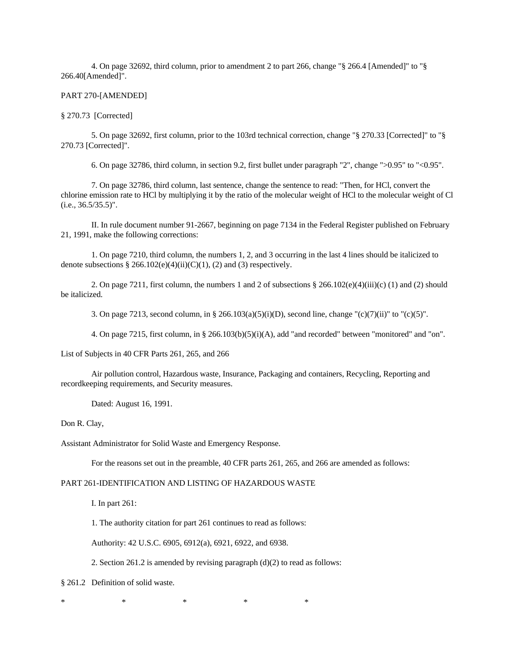4. On page 32692, third column, prior to amendment 2 to part 266, change "§ 266.4 [Amended]" to "§ 266.40[Amended]".

### PART 270-[AMENDED]

## § 270.73 [Corrected]

5. On page 32692, first column, prior to the 103rd technical correction, change "§ 270.33 [Corrected]" to "§ 270.73 [Corrected]".

6. On page 32786, third column, in section 9.2, first bullet under paragraph "2", change ">0.95" to "<0.95".

7. On page 32786, third column, last sentence, change the sentence to read: "Then, for HCl, convert the chlorine emission rate to HCl by multiplying it by the ratio of the molecular weight of HCl to the molecular weight of Cl  $(i.e., 36.5/35.5)$ ".

II. In rule document number 91-2667, beginning on page 7134 in the Federal Register published on February 21, 1991, make the following corrections:

1. On page 7210, third column, the numbers 1, 2, and 3 occurring in the last 4 lines should be italicized to denote subsections  $§ 266.102(e)(4)(ii)(C)(1)$ , (2) and (3) respectively.

2. On page 7211, first column, the numbers 1 and 2 of subsections § 266.102(e)(4)(iii)(c) (1) and (2) should be italicized.

3. On page 7213, second column, in § 266.103(a)(5)(i)(D), second line, change "(c)(7)(ii)" to "(c)(5)".

4. On page 7215, first column, in § 266.103(b)(5)(i)(A), add "and recorded" between "monitored" and "on".

List of Subjects in 40 CFR Parts 261, 265, and 266

Air pollution control, Hazardous waste, Insurance, Packaging and containers, Recycling, Reporting and recordkeeping requirements, and Security measures.

Dated: August 16, 1991.

Don R. Clay,

Assistant Administrator for Solid Waste and Emergency Response.

For the reasons set out in the preamble, 40 CFR parts 261, 265, and 266 are amended as follows:

# PART 261-IDENTIFICATION AND LISTING OF HAZARDOUS WASTE

I. In part 261:

1. The authority citation for part 261 continues to read as follows:

Authority: 42 U.S.C. 6905, 6912(a), 6921, 6922, and 6938.

2. Section 261.2 is amended by revising paragraph (d)(2) to read as follows:

§ 261.2 Definition of solid waste.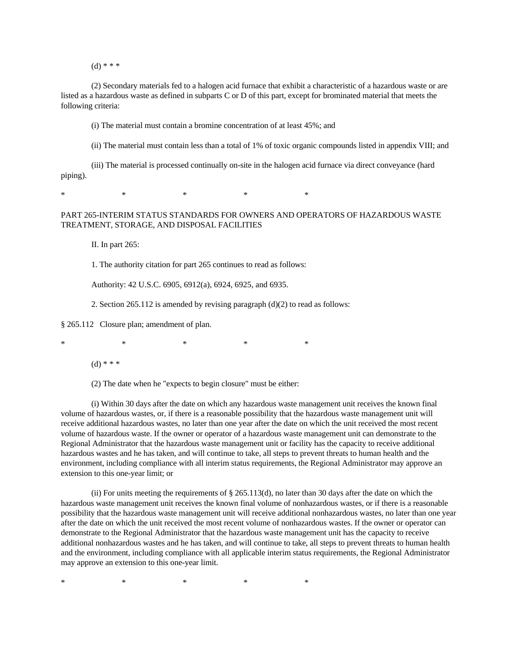$(d)$  \* \* \*

(2) Secondary materials fed to a halogen acid furnace that exhibit a characteristic of a hazardous waste or are listed as a hazardous waste as defined in subparts C or D of this part, except for brominated material that meets the following criteria:

(i) The material must contain a bromine concentration of at least 45%; and

(ii) The material must contain less than a total of 1% of toxic organic compounds listed in appendix VIII; and

(iii) The material is processed continually on-site in the halogen acid furnace via direct conveyance (hard piping).

\* \* \* \* \* \* \* \* \*

## PART 265-INTERIM STATUS STANDARDS FOR OWNERS AND OPERATORS OF HAZARDOUS WASTE TREATMENT, STORAGE, AND DISPOSAL FACILITIES

II. In part 265:

1. The authority citation for part 265 continues to read as follows:

Authority: 42 U.S.C. 6905, 6912(a), 6924, 6925, and 6935.

2. Section 265.112 is amended by revising paragraph (d)(2) to read as follows:

§ 265.112 Closure plan; amendment of plan.

\* \* \* \* \* \* \* \* \*

 $(d)$  \* \* \*

(2) The date when he "expects to begin closure" must be either:

(i) Within 30 days after the date on which any hazardous waste management unit receives the known final volume of hazardous wastes, or, if there is a reasonable possibility that the hazardous waste management unit will receive additional hazardous wastes, no later than one year after the date on which the unit received the most recent volume of hazardous waste. If the owner or operator of a hazardous waste management unit can demonstrate to the Regional Administrator that the hazardous waste management unit or facility has the capacity to receive additional hazardous wastes and he has taken, and will continue to take, all steps to prevent threats to human health and the environment, including compliance with all interim status requirements, the Regional Administrator may approve an extension to this one-year limit; or

(ii) For units meeting the requirements of  $\S 265.113(d)$ , no later than 30 days after the date on which the hazardous waste management unit receives the known final volume of nonhazardous wastes, or if there is a reasonable possibility that the hazardous waste management unit will receive additional nonhazardous wastes, no later than one year after the date on which the unit received the most recent volume of nonhazardous wastes. If the owner or operator can demonstrate to the Regional Administrator that the hazardous waste management unit has the capacity to receive additional nonhazardous wastes and he has taken, and will continue to take, all steps to prevent threats to human health and the environment, including compliance with all applicable interim status requirements, the Regional Administrator may approve an extension to this one-year limit.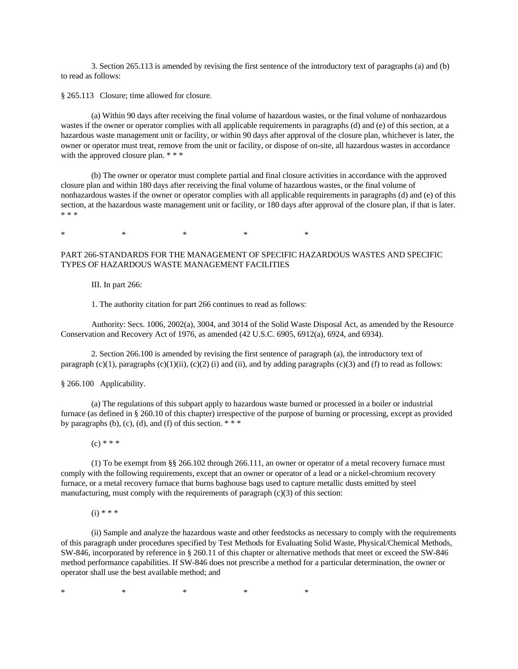3. Section 265.113 is amended by revising the first sentence of the introductory text of paragraphs (a) and (b) to read as follows:

§ 265.113 Closure; time allowed for closure.

(a) Within 90 days after receiving the final volume of hazardous wastes, or the final volume of nonhazardous wastes if the owner or operator complies with all applicable requirements in paragraphs (d) and (e) of this section, at a hazardous waste management unit or facility, or within 90 days after approval of the closure plan, whichever is later, the owner or operator must treat, remove from the unit or facility, or dispose of on-site, all hazardous wastes in accordance with the approved closure plan. \* \* \*

(b) The owner or operator must complete partial and final closure activities in accordance with the approved closure plan and within 180 days after receiving the final volume of hazardous wastes, or the final volume of nonhazardous wastes if the owner or operator complies with all applicable requirements in paragraphs (d) and (e) of this section, at the hazardous waste management unit or facility, or 180 days after approval of the closure plan, if that is later. \* \* \*

\* \* \* \* \* \* \* \* \*

## PART 266-STANDARDS FOR THE MANAGEMENT OF SPECIFIC HAZARDOUS WASTES AND SPECIFIC TYPES OF HAZARDOUS WASTE MANAGEMENT FACILITIES

III. In part 266:

1. The authority citation for part 266 continues to read as follows:

Authority: Secs. 1006, 2002(a), 3004, and 3014 of the Solid Waste Disposal Act, as amended by the Resource Conservation and Recovery Act of 1976, as amended (42 U.S.C. 6905, 6912(a), 6924, and 6934).

2. Section 266.100 is amended by revising the first sentence of paragraph (a), the introductory text of paragraph  $(c)(1)$ , paragraphs  $(c)(1)(ii)$ ,  $(c)(2)$  (i) and (ii), and by adding paragraphs  $(c)(3)$  and (f) to read as follows:

§ 266.100 Applicability.

(a) The regulations of this subpart apply to hazardous waste burned or processed in a boiler or industrial furnace (as defined in § 260.10 of this chapter) irrespective of the purpose of burning or processing, except as provided by paragraphs (b), (c), (d), and (f) of this section.  $***$ 

 $(c)$  \* \* \*

(1) To be exempt from §§ 266.102 through 266.111, an owner or operator of a metal recovery furnace must comply with the following requirements, except that an owner or operator of a lead or a nickel-chromium recovery furnace, or a metal recovery furnace that burns baghouse bags used to capture metallic dusts emitted by steel manufacturing, must comply with the requirements of paragraph (c)(3) of this section:

 $(i) * * * *$ 

(ii) Sample and analyze the hazardous waste and other feedstocks as necessary to comply with the requirements of this paragraph under procedures specified by Test Methods for Evaluating Solid Waste, Physical/Chemical Methods, SW-846, incorporated by reference in § 260.11 of this chapter or alternative methods that meet or exceed the SW-846 method performance capabilities. If SW-846 does not prescribe a method for a particular determination, the owner or operator shall use the best available method; and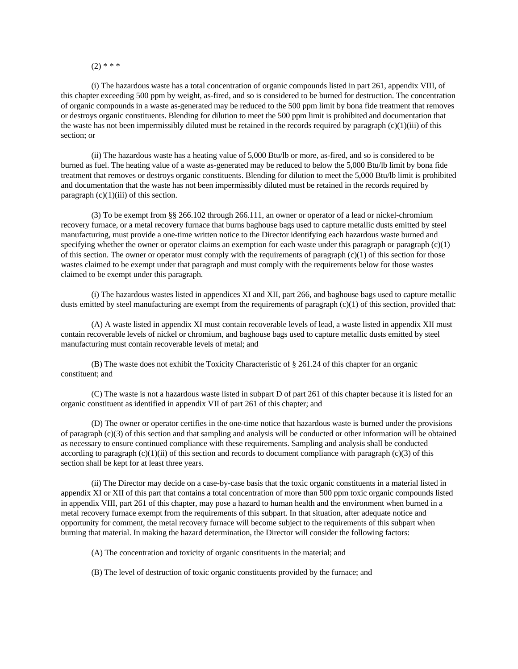## $(2)$  \* \* \*

(i) The hazardous waste has a total concentration of organic compounds listed in part 261, appendix VIII, of this chapter exceeding 500 ppm by weight, as-fired, and so is considered to be burned for destruction. The concentration of organic compounds in a waste as-generated may be reduced to the 500 ppm limit by bona fide treatment that removes or destroys organic constituents. Blending for dilution to meet the 500 ppm limit is prohibited and documentation that the waste has not been impermissibly diluted must be retained in the records required by paragraph (c)(1)(iii) of this section; or

(ii) The hazardous waste has a heating value of 5,000 Btu/lb or more, as-fired, and so is considered to be burned as fuel. The heating value of a waste as-generated may be reduced to below the 5,000 Btu/lb limit by bona fide treatment that removes or destroys organic constituents. Blending for dilution to meet the 5,000 Btu/lb limit is prohibited and documentation that the waste has not been impermissibly diluted must be retained in the records required by paragraph  $(c)(1)(iii)$  of this section.

(3) To be exempt from §§ 266.102 through 266.111, an owner or operator of a lead or nickel-chromium recovery furnace, or a metal recovery furnace that burns baghouse bags used to capture metallic dusts emitted by steel manufacturing, must provide a one-time written notice to the Director identifying each hazardous waste burned and specifying whether the owner or operator claims an exemption for each waste under this paragraph or paragraph  $(c)(1)$ of this section. The owner or operator must comply with the requirements of paragraph  $(c)(1)$  of this section for those wastes claimed to be exempt under that paragraph and must comply with the requirements below for those wastes claimed to be exempt under this paragraph.

(i) The hazardous wastes listed in appendices XI and XII, part 266, and baghouse bags used to capture metallic dusts emitted by steel manufacturing are exempt from the requirements of paragraph  $(c)(1)$  of this section, provided that:

(A) A waste listed in appendix XI must contain recoverable levels of lead, a waste listed in appendix XII must contain recoverable levels of nickel or chromium, and baghouse bags used to capture metallic dusts emitted by steel manufacturing must contain recoverable levels of metal; and

(B) The waste does not exhibit the Toxicity Characteristic of § 261.24 of this chapter for an organic constituent; and

(C) The waste is not a hazardous waste listed in subpart D of part 261 of this chapter because it is listed for an organic constituent as identified in appendix VII of part 261 of this chapter; and

(D) The owner or operator certifies in the one-time notice that hazardous waste is burned under the provisions of paragraph (c)(3) of this section and that sampling and analysis will be conducted or other information will be obtained as necessary to ensure continued compliance with these requirements. Sampling and analysis shall be conducted according to paragraph  $(c)(1)(ii)$  of this section and records to document compliance with paragraph  $(c)(3)$  of this section shall be kept for at least three years.

(ii) The Director may decide on a case-by-case basis that the toxic organic constituents in a material listed in appendix XI or XII of this part that contains a total concentration of more than 500 ppm toxic organic compounds listed in appendix VIII, part 261 of this chapter, may pose a hazard to human health and the environment when burned in a metal recovery furnace exempt from the requirements of this subpart. In that situation, after adequate notice and opportunity for comment, the metal recovery furnace will become subject to the requirements of this subpart when burning that material. In making the hazard determination, the Director will consider the following factors:

(A) The concentration and toxicity of organic constituents in the material; and

(B) The level of destruction of toxic organic constituents provided by the furnace; and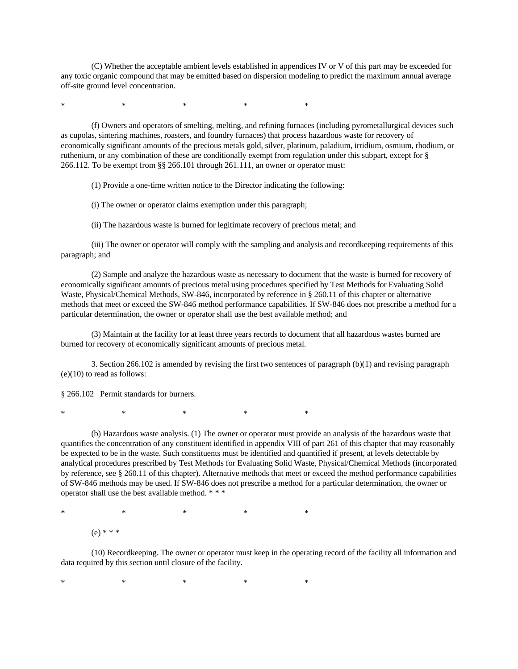(C) Whether the acceptable ambient levels established in appendices IV or V of this part may be exceeded for any toxic organic compound that may be emitted based on dispersion modeling to predict the maximum annual average off-site ground level concentration.

\* \* \* \* \* \* \* \* \*

(f) Owners and operators of smelting, melting, and refining furnaces (including pyrometallurgical devices such as cupolas, sintering machines, roasters, and foundry furnaces) that process hazardous waste for recovery of economically significant amounts of the precious metals gold, silver, platinum, paladium, irridium, osmium, rhodium, or ruthenium, or any combination of these are conditionally exempt from regulation under this subpart, except for § 266.112. To be exempt from §§ 266.101 through 261.111, an owner or operator must:

(1) Provide a one-time written notice to the Director indicating the following:

(i) The owner or operator claims exemption under this paragraph;

(ii) The hazardous waste is burned for legitimate recovery of precious metal; and

(iii) The owner or operator will comply with the sampling and analysis and recordkeeping requirements of this paragraph; and

(2) Sample and analyze the hazardous waste as necessary to document that the waste is burned for recovery of economically significant amounts of precious metal using procedures specified by Test Methods for Evaluating Solid Waste, Physical/Chemical Methods, SW-846, incorporated by reference in § 260.11 of this chapter or alternative methods that meet or exceed the SW-846 method performance capabilities. If SW-846 does not prescribe a method for a particular determination, the owner or operator shall use the best available method; and

(3) Maintain at the facility for at least three years records to document that all hazardous wastes burned are burned for recovery of economically significant amounts of precious metal.

3. Section 266.102 is amended by revising the first two sentences of paragraph (b)(1) and revising paragraph  $(e)(10)$  to read as follows:

§ 266.102 Permit standards for burners.

\* \* \* \* \* \* \* \* \*

(b) Hazardous waste analysis. (1) The owner or operator must provide an analysis of the hazardous waste that quantifies the concentration of any constituent identified in appendix VIII of part 261 of this chapter that may reasonably be expected to be in the waste. Such constituents must be identified and quantified if present, at levels detectable by analytical procedures prescribed by Test Methods for Evaluating Solid Waste, Physical/Chemical Methods (incorporated by reference, see § 260.11 of this chapter). Alternative methods that meet or exceed the method performance capabilities of SW-846 methods may be used. If SW-846 does not prescribe a method for a particular determination, the owner or operator shall use the best available method. \* \* \*

\* \* \* \* \* \* \* \* \* (e) \* \* \*

(10) Recordkeeping. The owner or operator must keep in the operating record of the facility all information and data required by this section until closure of the facility.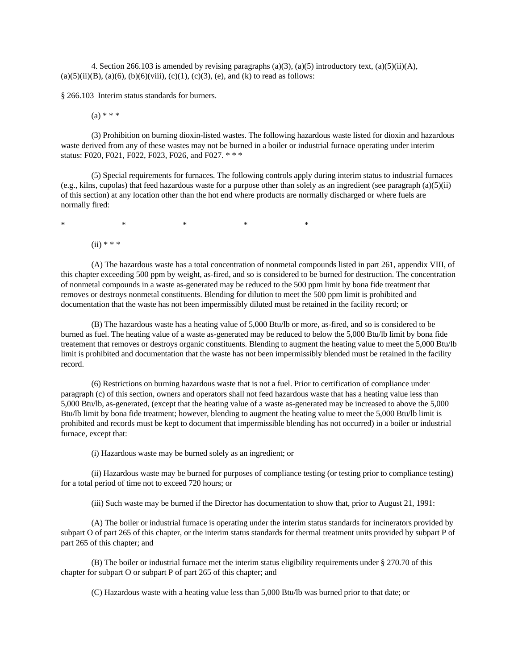4. Section 266.103 is amended by revising paragraphs (a)(3), (a)(5) introductory text, (a)(5)(ii)(A), (a)(5)(ii)(B), (a)(6), (b)(6)(viii), (c)(1), (c)(3), (e), and (k) to read as follows:

§ 266.103 Interim status standards for burners.

 $(a) * * *$ 

(3) Prohibition on burning dioxin-listed wastes. The following hazardous waste listed for dioxin and hazardous waste derived from any of these wastes may not be burned in a boiler or industrial furnace operating under interim status: F020, F021, F022, F023, F026, and F027. \* \* \*

(5) Special requirements for furnaces. The following controls apply during interim status to industrial furnaces  $(e.g.,$  kilns, cupolas) that feed hazardous waste for a purpose other than solely as an ingredient (see paragraph  $(a)(5)(ii)$ ) of this section) at any location other than the hot end where products are normally discharged or where fuels are normally fired:

\* \* \* \* \* \* \* \* \*

 $(ii)$  \* \* \*

(A) The hazardous waste has a total concentration of nonmetal compounds listed in part 261, appendix VIII, of this chapter exceeding 500 ppm by weight, as-fired, and so is considered to be burned for destruction. The concentration of nonmetal compounds in a waste as-generated may be reduced to the 500 ppm limit by bona fide treatment that removes or destroys nonmetal constituents. Blending for dilution to meet the 500 ppm limit is prohibited and documentation that the waste has not been impermissibly diluted must be retained in the facility record; or

(B) The hazardous waste has a heating value of 5,000 Btu/lb or more, as-fired, and so is considered to be burned as fuel. The heating value of a waste as-generated may be reduced to below the 5,000 Btu/lb limit by bona fide treatement that removes or destroys organic constituents. Blending to augment the heating value to meet the 5,000 Btu/lb limit is prohibited and documentation that the waste has not been impermissibly blended must be retained in the facility record.

(6) Restrictions on burning hazardous waste that is not a fuel. Prior to certification of compliance under paragraph (c) of this section, owners and operators shall not feed hazardous waste that has a heating value less than 5,000 Btu/lb, as-generated, (except that the heating value of a waste as-generated may be increased to above the 5,000 Btu/lb limit by bona fide treatment; however, blending to augment the heating value to meet the 5,000 Btu/lb limit is prohibited and records must be kept to document that impermissible blending has not occurred) in a boiler or industrial furnace, except that:

(i) Hazardous waste may be burned solely as an ingredient; or

(ii) Hazardous waste may be burned for purposes of compliance testing (or testing prior to compliance testing) for a total period of time not to exceed 720 hours; or

(iii) Such waste may be burned if the Director has documentation to show that, prior to August 21, 1991:

(A) The boiler or industrial furnace is operating under the interim status standards for incinerators provided by subpart O of part 265 of this chapter, or the interim status standards for thermal treatment units provided by subpart P of part 265 of this chapter; and

(B) The boiler or industrial furnace met the interim status eligibility requirements under § 270.70 of this chapter for subpart O or subpart P of part 265 of this chapter; and

(C) Hazardous waste with a heating value less than 5,000 Btu/lb was burned prior to that date; or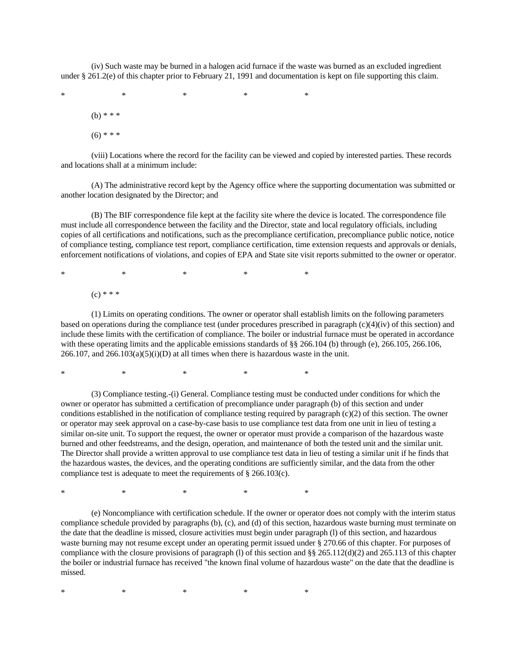(iv) Such waste may be burned in a halogen acid furnace if the waste was burned as an excluded ingredient under § 261.2(e) of this chapter prior to February 21, 1991 and documentation is kept on file supporting this claim.

\* \* \* \* \* \* \* \* \* (b) \* \* \*  $(6)$  \* \* \*

(viii) Locations where the record for the facility can be viewed and copied by interested parties. These records and locations shall at a minimum include:

(A) The administrative record kept by the Agency office where the supporting documentation was submitted or another location designated by the Director; and

(B) The BIF correspondence file kept at the facility site where the device is located. The correspondence file must include all correspondence between the facility and the Director, state and local regulatory officials, including copies of all certifications and notifications, such as the precompliance certification, precompliance public notice, notice of compliance testing, compliance test report, compliance certification, time extension requests and approvals or denials, enforcement notifications of violations, and copies of EPA and State site visit reports submitted to the owner or operator.

\* \* \* \* \* \* \* \* \*  $(c) * * *$ 

(1) Limits on operating conditions. The owner or operator shall establish limits on the following parameters based on operations during the compliance test (under procedures prescribed in paragraph  $(c)(4)(iv)$  of this section) and include these limits with the certification of compliance. The boiler or industrial furnace must be operated in accordance with these operating limits and the applicable emissions standards of §§ 266.104 (b) through (e), 266.105, 266.106,  $266.107$ , and  $266.103(a)(5)(i)(D)$  at all times when there is hazardous waste in the unit.

\* \* \* \* \* \* \* \* \*

(3) Compliance testing.-(i) General. Compliance testing must be conducted under conditions for which the owner or operator has submitted a certification of precompliance under paragraph (b) of this section and under conditions established in the notification of compliance testing required by paragraph (c)(2) of this section. The owner or operator may seek approval on a case-by-case basis to use compliance test data from one unit in lieu of testing a similar on-site unit. To support the request, the owner or operator must provide a comparison of the hazardous waste burned and other feedstreams, and the design, operation, and maintenance of both the tested unit and the similar unit. The Director shall provide a written approval to use compliance test data in lieu of testing a similar unit if he finds that the hazardous wastes, the devices, and the operating conditions are sufficiently similar, and the data from the other compliance test is adequate to meet the requirements of § 266.103(c).

\* \* \* \* \* \* \* \* \*

(e) Noncompliance with certification schedule. If the owner or operator does not comply with the interim status compliance schedule provided by paragraphs (b), (c), and (d) of this section, hazardous waste burning must terminate on the date that the deadline is missed, closure activities must begin under paragraph (l) of this section, and hazardous waste burning may not resume except under an operating permit issued under § 270.66 of this chapter. For purposes of compliance with the closure provisions of paragraph (l) of this section and  $\S$ § 265.112(d)(2) and 265.113 of this chapter the boiler or industrial furnace has received "the known final volume of hazardous waste" on the date that the deadline is missed.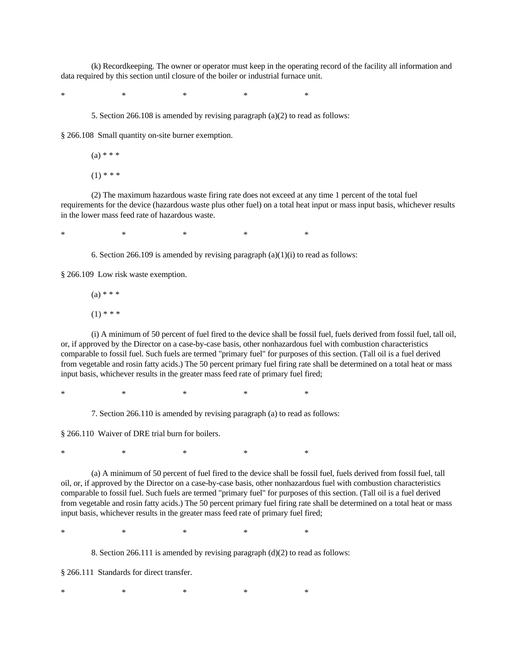(k) Recordkeeping. The owner or operator must keep in the operating record of the facility all information and data required by this section until closure of the boiler or industrial furnace unit.

\* \* \* \* \* \* \* \* \*

5. Section 266.108 is amended by revising paragraph (a)(2) to read as follows:

§ 266.108 Small quantity on-site burner exemption.

 $(a) * * *$ 

 $(1)$  \* \* \*

(2) The maximum hazardous waste firing rate does not exceed at any time 1 percent of the total fuel requirements for the device (hazardous waste plus other fuel) on a total heat input or mass input basis, whichever results in the lower mass feed rate of hazardous waste.

\* \* \* \* \* \* \* \* \*

6. Section 266.109 is amended by revising paragraph  $(a)(1)(i)$  to read as follows:

§ 266.109 Low risk waste exemption.

 $(a) * * *$ 

 $(1)$  \* \* \*

(i) A minimum of 50 percent of fuel fired to the device shall be fossil fuel, fuels derived from fossil fuel, tall oil, or, if approved by the Director on a case-by-case basis, other nonhazardous fuel with combustion characteristics comparable to fossil fuel. Such fuels are termed "primary fuel" for purposes of this section. (Tall oil is a fuel derived from vegetable and rosin fatty acids.) The 50 percent primary fuel firing rate shall be determined on a total heat or mass input basis, whichever results in the greater mass feed rate of primary fuel fired;

\* \* \* \* \* \* \* \* \*

7. Section 266.110 is amended by revising paragraph (a) to read as follows:

§ 266.110 Waiver of DRE trial burn for boilers.

\* \* \* \* \* \* \* \* \*

(a) A minimum of 50 percent of fuel fired to the device shall be fossil fuel, fuels derived from fossil fuel, tall oil, or, if approved by the Director on a case-by-case basis, other nonhazardous fuel with combustion characteristics comparable to fossil fuel. Such fuels are termed "primary fuel" for purposes of this section. (Tall oil is a fuel derived from vegetable and rosin fatty acids.) The 50 percent primary fuel firing rate shall be determined on a total heat or mass input basis, whichever results in the greater mass feed rate of primary fuel fired;

\* \* \* \* \* \* \* \* \*

8. Section 266.111 is amended by revising paragraph (d)(2) to read as follows:

§ 266.111 Standards for direct transfer.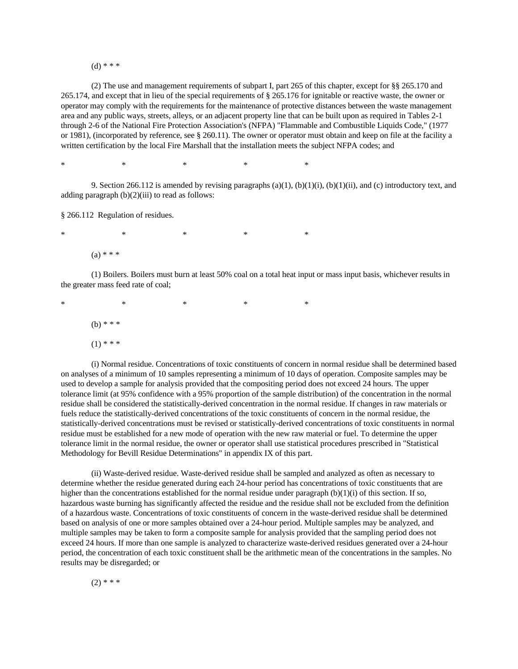$(d)$  \* \* \*

(2) The use and management requirements of subpart I, part 265 of this chapter, except for §§ 265.170 and 265.174, and except that in lieu of the special requirements of § 265.176 for ignitable or reactive waste, the owner or operator may comply with the requirements for the maintenance of protective distances between the waste management area and any public ways, streets, alleys, or an adjacent property line that can be built upon as required in Tables 2-1 through 2-6 of the National Fire Protection Association's (NFPA) "Flammable and Combustible Liquids Code," (1977 or 1981), (incorporated by reference, see § 260.11). The owner or operator must obtain and keep on file at the facility a written certification by the local Fire Marshall that the installation meets the subject NFPA codes; and

\* \* \* \* \* \* \* \* \*

9. Section 266.112 is amended by revising paragraphs  $(a)(1)$ ,  $(b)(1)(i)$ ,  $(b)(1)(ii)$ , and  $(c)$  introductory text, and adding paragraph  $(b)(2)(iii)$  to read as follows:

§ 266.112 Regulation of residues.

\* \* \* \* \* \* \* \* \*  $(a) * * *$ 

(1) Boilers. Boilers must burn at least 50% coal on a total heat input or mass input basis, whichever results in the greater mass feed rate of coal;

\* \* \* \* \* \* \* \* \* (b) \* \* \*  $(1)$  \* \* \*

(i) Normal residue. Concentrations of toxic constituents of concern in normal residue shall be determined based on analyses of a minimum of 10 samples representing a minimum of 10 days of operation. Composite samples may be used to develop a sample for analysis provided that the compositing period does not exceed 24 hours. The upper tolerance limit (at 95% confidence with a 95% proportion of the sample distribution) of the concentration in the normal residue shall be considered the statistically-derived concentration in the normal residue. If changes in raw materials or fuels reduce the statistically-derived concentrations of the toxic constituents of concern in the normal residue, the statistically-derived concentrations must be revised or statistically-derived concentrations of toxic constituents in normal residue must be established for a new mode of operation with the new raw material or fuel. To determine the upper tolerance limit in the normal residue, the owner or operator shall use statistical procedures prescribed in "Statistical Methodology for Bevill Residue Determinations" in appendix IX of this part.

(ii) Waste-derived residue. Waste-derived residue shall be sampled and analyzed as often as necessary to determine whether the residue generated during each 24-hour period has concentrations of toxic constituents that are higher than the concentrations established for the normal residue under paragraph  $(b)(1)(i)$  of this section. If so, hazardous waste burning has significantly affected the residue and the residue shall not be excluded from the definition of a hazardous waste. Concentrations of toxic constituents of concern in the waste-derived residue shall be determined based on analysis of one or more samples obtained over a 24-hour period. Multiple samples may be analyzed, and multiple samples may be taken to form a composite sample for analysis provided that the sampling period does not exceed 24 hours. If more than one sample is analyzed to characterize waste-derived residues generated over a 24-hour period, the concentration of each toxic constituent shall be the arithmetic mean of the concentrations in the samples. No results may be disregarded; or

$$
(2) * * *
$$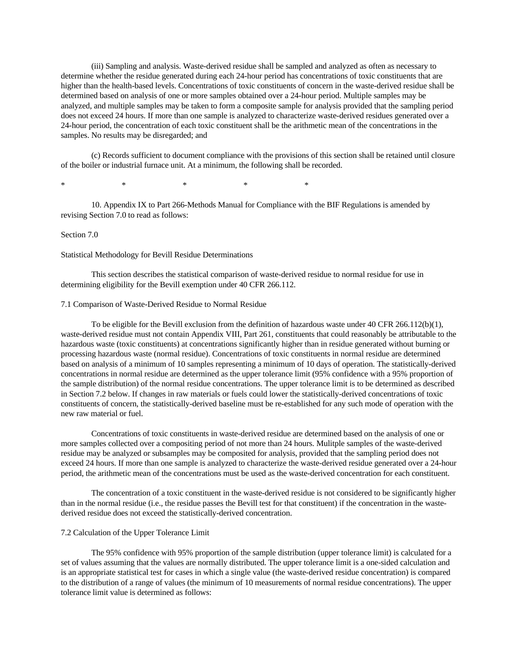(iii) Sampling and analysis. Waste-derived residue shall be sampled and analyzed as often as necessary to determine whether the residue generated during each 24-hour period has concentrations of toxic constituents that are higher than the health-based levels. Concentrations of toxic constituents of concern in the waste-derived residue shall be determined based on analysis of one or more samples obtained over a 24-hour period. Multiple samples may be analyzed, and multiple samples may be taken to form a composite sample for analysis provided that the sampling period does not exceed 24 hours. If more than one sample is analyzed to characterize waste-derived residues generated over a 24-hour period, the concentration of each toxic constituent shall be the arithmetic mean of the concentrations in the samples. No results may be disregarded; and

(c) Records sufficient to document compliance with the provisions of this section shall be retained until closure of the boiler or industrial furnace unit. At a minimum, the following shall be recorded.

\* \* \* \* \* \* \* \* \*

10. Appendix IX to Part 266-Methods Manual for Compliance with the BIF Regulations is amended by revising Section 7.0 to read as follows:

## Section 7.0

### Statistical Methodology for Bevill Residue Determinations

This section describes the statistical comparison of waste-derived residue to normal residue for use in determining eligibility for the Bevill exemption under 40 CFR 266.112.

## 7.1 Comparison of Waste-Derived Residue to Normal Residue

To be eligible for the Bevill exclusion from the definition of hazardous waste under 40 CFR 266.112(b)(1), waste-derived residue must not contain Appendix VIII, Part 261, constituents that could reasonably be attributable to the hazardous waste (toxic constituents) at concentrations significantly higher than in residue generated without burning or processing hazardous waste (normal residue). Concentrations of toxic constituents in normal residue are determined based on analysis of a minimum of 10 samples representing a minimum of 10 days of operation. The statistically-derived concentrations in normal residue are determined as the upper tolerance limit (95% confidence with a 95% proportion of the sample distribution) of the normal residue concentrations. The upper tolerance limit is to be determined as described in Section 7.2 below. If changes in raw materials or fuels could lower the statistically-derived concentrations of toxic constituents of concern, the statistically-derived baseline must be re-established for any such mode of operation with the new raw material or fuel.

Concentrations of toxic constituents in waste-derived residue are determined based on the analysis of one or more samples collected over a compositing period of not more than 24 hours. Mulitple samples of the waste-derived residue may be analyzed or subsamples may be composited for analysis, provided that the sampling period does not exceed 24 hours. If more than one sample is analyzed to characterize the waste-derived residue generated over a 24-hour period, the arithmetic mean of the concentrations must be used as the waste-derived concentration for each constituent.

The concentration of a toxic constituent in the waste-derived residue is not considered to be significantly higher than in the normal residue (i.e., the residue passes the Bevill test for that constituent) if the concentration in the wastederived residue does not exceed the statistically-derived concentration.

### 7.2 Calculation of the Upper Tolerance Limit

The 95% confidence with 95% proportion of the sample distribution (upper tolerance limit) is calculated for a set of values assuming that the values are normally distributed. The upper tolerance limit is a one-sided calculation and is an appropriate statistical test for cases in which a single value (the waste-derived residue concentration) is compared to the distribution of a range of values (the minimum of 10 measurements of normal residue concentrations). The upper tolerance limit value is determined as follows: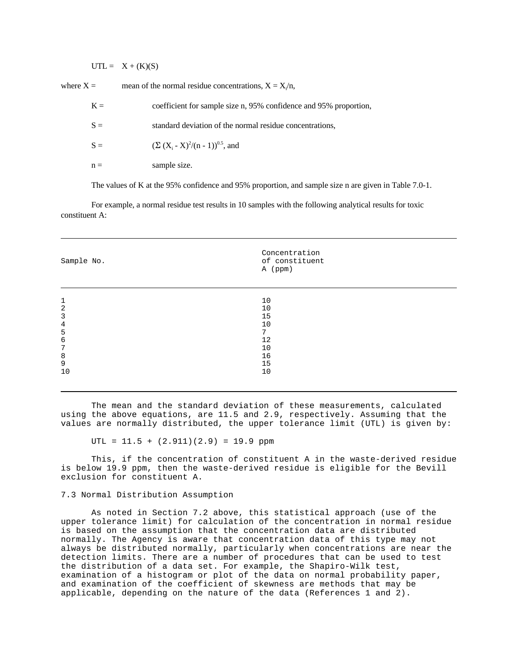$UTL = X + (K)(S)$ 

where  $X =$  mean of the normal residue concentrations,  $X = X/n$ ,

| $K =$ | coefficient for sample size n, 95% confidence and 95% proportion, |
|-------|-------------------------------------------------------------------|
| $S =$ | standard deviation of the normal residue concentrations,          |
| $S =$ | $(\Sigma (X_i - X)^2/(n - 1))^{0.5}$ , and                        |
| $n =$ | sample size.                                                      |

The values of K at the 95% confidence and 95% proportion, and sample size n are given in Table 7.0-1.

For example, a normal residue test results in 10 samples with the following analytical results for toxic constituent A:

| Sample No.     | Concentration<br>of constituent<br>A (ppm) |
|----------------|--------------------------------------------|
|                |                                            |
| $\mathbf{1}$   | 10                                         |
| 2              | 10                                         |
| 3              | 15                                         |
| $\overline{4}$ | 10                                         |
| 5              | 7                                          |
| 6              | 12                                         |
| 7              | 10                                         |
| 8              | 16                                         |
| 9              | 15                                         |
| 10             | 10                                         |
|                |                                            |

The mean and the standard deviation of these measurements, calculated using the above equations, are 11.5 and 2.9, respectively. Assuming that the values are normally distributed, the upper tolerance limit (UTL) is given by:

 $UTL = 11.5 + (2.911)(2.9) = 19.9$  ppm

This, if the concentration of constituent A in the waste-derived residue is below 19.9 ppm, then the waste-derived residue is eligible for the Bevill exclusion for constituent A.

### 7.3 Normal Distribution Assumption

As noted in Section 7.2 above, this statistical approach (use of the upper tolerance limit) for calculation of the concentration in normal residue is based on the assumption that the concentration data are distributed normally. The Agency is aware that concentration data of this type may not always be distributed normally, particularly when concentrations are near the detection limits. There are a number of procedures that can be used to test the distribution of a data set. For example, the Shapiro-Wilk test, examination of a histogram or plot of the data on normal probability paper, and examination of the coefficient of skewness are methods that may be applicable, depending on the nature of the data (References 1 and 2).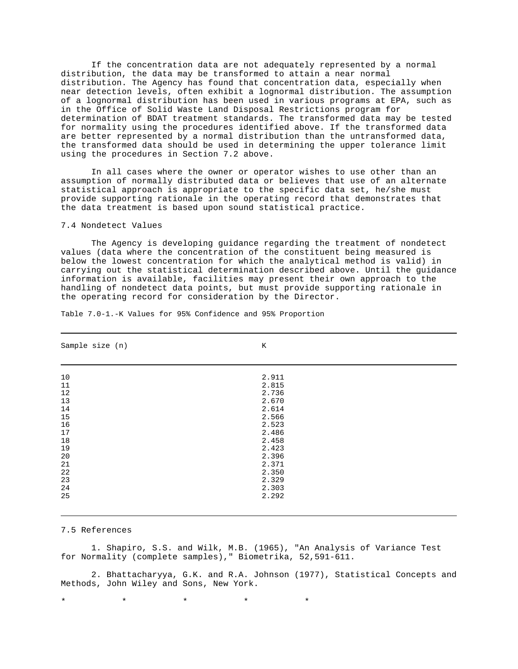If the concentration data are not adequately represented by a normal distribution, the data may be transformed to attain a near normal distribution. The Agency has found that concentration data, especially when near detection levels, often exhibit a lognormal distribution. The assumption of a lognormal distribution has been used in various programs at EPA, such as in the Office of Solid Waste Land Disposal Restrictions program for determination of BDAT treatment standards. The transformed data may be tested for normality using the procedures identified above. If the transformed data are better represented by a normal distribution than the untransformed data, the transformed data should be used in determining the upper tolerance limit using the procedures in Section 7.2 above.

In all cases where the owner or operator wishes to use other than an assumption of normally distributed data or believes that use of an alternate statistical approach is appropriate to the specific data set, he/she must provide supporting rationale in the operating record that demonstrates that the data treatment is based upon sound statistical practice.

## 7.4 Nondetect Values

The Agency is developing guidance regarding the treatment of nondetect values (data where the concentration of the constituent being measured is below the lowest concentration for which the analytical method is valid) in carrying out the statistical determination described above. Until the guidance information is available, facilities may present their own approach to the handling of nondetect data points, but must provide supporting rationale in the operating record for consideration by the Director.

| Sample size (n) | $\rm K$ |  |
|-----------------|---------|--|
|                 |         |  |
| 10              | 2.911   |  |
| 11              | 2.815   |  |
| 12              | 2.736   |  |
| 13              | 2.670   |  |
| 14              | 2.614   |  |
| 15              | 2.566   |  |
| 16              | 2.523   |  |
| $17$            | 2.486   |  |
| 18              | 2.458   |  |
| 19              | 2.423   |  |
| 20              | 2.396   |  |
| 21              | 2.371   |  |
| 22              | 2.350   |  |
| 23              | 2.329   |  |
| 24              | 2.303   |  |
| 25              | 2.292   |  |

Table 7.0-1.-K Values for 95% Confidence and 95% Proportion

#### 7.5 References

1. Shapiro, S.S. and Wilk, M.B. (1965), "An Analysis of Variance Test for Normality (complete samples)," Biometrika, 52,591-611.

2. Bhattacharyya, G.K. and R.A. Johnson (1977), Statistical Concepts and Methods, John Wiley and Sons, New York.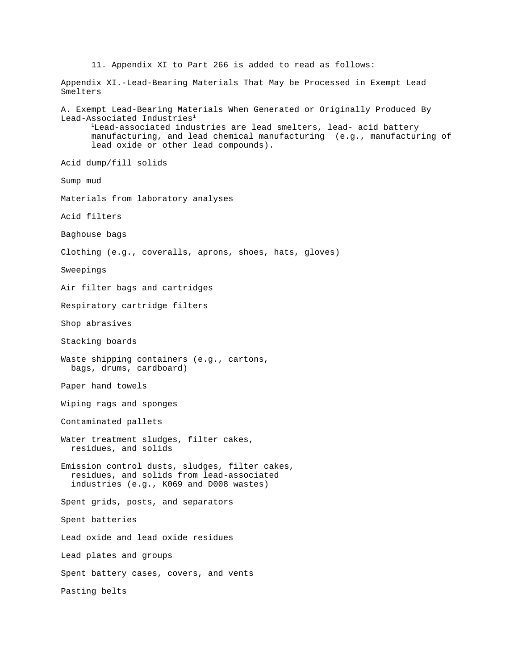11. Appendix XI to Part 266 is added to read as follows: Appendix XI.-Lead-Bearing Materials That May be Processed in Exempt Lead Smelters A. Exempt Lead-Bearing Materials When Generated or Originally Produced By Lead-Associated Industries<sup>1</sup> <sup>1</sup>Lead-associated industries are lead smelters, lead- acid battery manufacturing, and lead chemical manufacturing (e.g., manufacturing of lead oxide or other lead compounds). Acid dump/fill solids Sump mud Materials from laboratory analyses Acid filters Baghouse bags Clothing (e.g., coveralls, aprons, shoes, hats, gloves) Sweepings Air filter bags and cartridges Respiratory cartridge filters Shop abrasives Stacking boards Waste shipping containers (e.g., cartons, bags, drums, cardboard) Paper hand towels Wiping rags and sponges Contaminated pallets Water treatment sludges, filter cakes, residues, and solids Emission control dusts, sludges, filter cakes, residues, and solids from lead-associated industries (e.g., K069 and D008 wastes) Spent grids, posts, and separators Spent batteries Lead oxide and lead oxide residues Lead plates and groups Spent battery cases, covers, and vents Pasting belts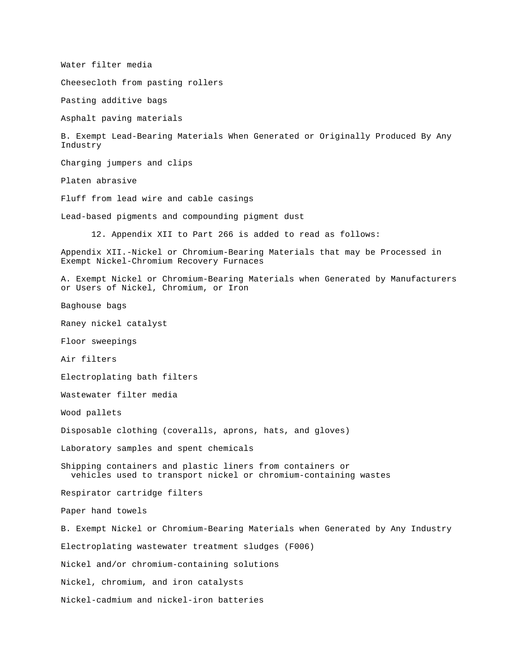Water filter media Cheesecloth from pasting rollers Pasting additive bags Asphalt paving materials B. Exempt Lead-Bearing Materials When Generated or Originally Produced By Any Industry Charging jumpers and clips Platen abrasive Fluff from lead wire and cable casings Lead-based pigments and compounding pigment dust 12. Appendix XII to Part 266 is added to read as follows: Appendix XII.-Nickel or Chromium-Bearing Materials that may be Processed in Exempt Nickel-Chromium Recovery Furnaces A. Exempt Nickel or Chromium-Bearing Materials when Generated by Manufacturers or Users of Nickel, Chromium, or Iron Baghouse bags Raney nickel catalyst Floor sweepings Air filters Electroplating bath filters Wastewater filter media Wood pallets Disposable clothing (coveralls, aprons, hats, and gloves) Laboratory samples and spent chemicals Shipping containers and plastic liners from containers or vehicles used to transport nickel or chromium-containing wastes Respirator cartridge filters Paper hand towels B. Exempt Nickel or Chromium-Bearing Materials when Generated by Any Industry Electroplating wastewater treatment sludges (F006) Nickel and/or chromium-containing solutions Nickel, chromium, and iron catalysts Nickel-cadmium and nickel-iron batteries